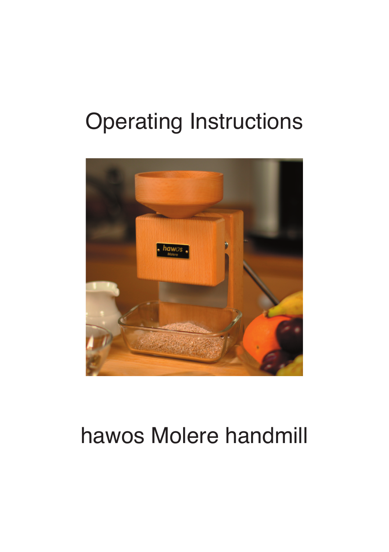# **Operating Instructions**



## hawos Molere handmill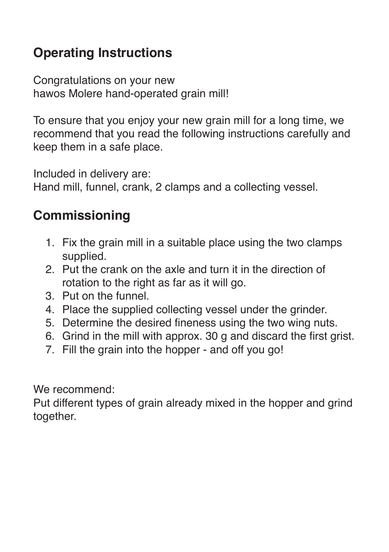### **Operating Instructions**

Congratulations on your new hawos Molere hand-operated grain mill!

To ensure that you enjoy your new grain mill for a long time, we recommend that you read the following instructions carefully and keep them in a safe place.

Included in delivery are:

Hand mill, funnel, crank, 2 clamps and a collecting vessel.

#### **Commissioning**

- 1. Fix the grain mill in a suitable place using the two clamps supplied.
- 2. Put the crank on the axle and turn it in the direction of rotation to the right as far as it will go.
- 3. Put on the funnel.
- 4. Place the supplied collecting vessel under the grinder.
- 5. Determine the desired fineness using the two wing nuts.
- 6. Grind in the mill with approx. 30 g and discard the first grist.
- 7. Fill the grain into the hopper and off you go!

We recommend:

Put different types of grain already mixed in the hopper and grind together.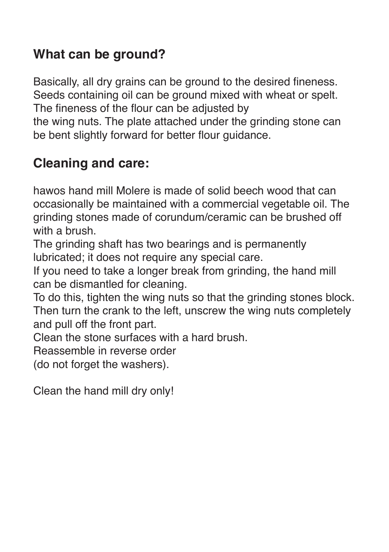#### **What can be ground?**

Basically, all dry grains can be ground to the desired fineness. Seeds containing oil can be ground mixed with wheat or spelt. The fineness of the flour can be adjusted by the wing nuts. The plate attached under the grinding stone can be bent slightly forward for better flour guidance.

#### **Cleaning and care:**

hawos hand mill Molere is made of solid beech wood that can occasionally be maintained with a commercial vegetable oil. The grinding stones made of corundum/ceramic can be brushed off with a brush.

The grinding shaft has two bearings and is permanently lubricated; it does not require any special care.

If you need to take a longer break from grinding, the hand mill can be dismantled for cleaning.

To do this, tighten the wing nuts so that the grinding stones block. Then turn the crank to the left, unscrew the wing nuts completely and pull off the front part.

Clean the stone surfaces with a hard brush.

Reassemble in reverse order

(do not forget the washers).

Clean the hand mill dry only!